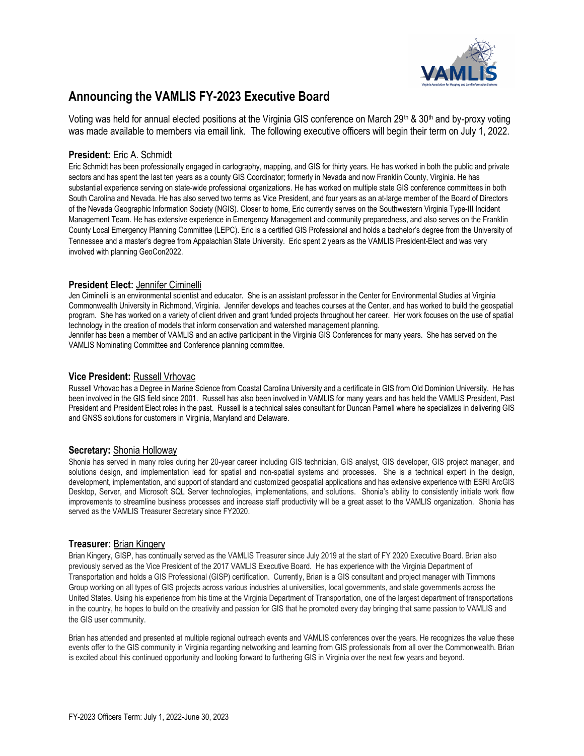

# Announcing the VAMLIS FY-2023 Executive Board

Voting was held for annual elected positions at the Virginia GIS conference on March 29th & 30th and by-proxy voting was made available to members via email link. The following executive officers will begin their term on July 1, 2022.

# President: Eric A. Schmidt

Eric Schmidt has been professionally engaged in cartography, mapping, and GIS for thirty years. He has worked in both the public and private sectors and has spent the last ten years as a county GIS Coordinator; formerly in Nevada and now Franklin County, Virginia. He has substantial experience serving on state-wide professional organizations. He has worked on multiple state GIS conference committees in both South Carolina and Nevada. He has also served two terms as Vice President, and four years as an at-large member of the Board of Directors of the Nevada Geographic Information Society (NGIS). Closer to home, Eric currently serves on the Southwestern Virginia Type-III Incident Management Team. He has extensive experience in Emergency Management and community preparedness, and also serves on the Franklin County Local Emergency Planning Committee (LEPC). Eric is a certified GIS Professional and holds a bachelor's degree from the University of Tennessee and a master's degree from Appalachian State University. Eric spent 2 years as the VAMLIS President-Elect and was very involved with planning GeoCon2022.

### President Elect: Jennifer Ciminelli

Jen Ciminelli is an environmental scientist and educator. She is an assistant professor in the Center for Environmental Studies at Virginia Commonwealth University in Richmond, Virginia. Jennifer develops and teaches courses at the Center, and has worked to build the geospatial program. She has worked on a variety of client driven and grant funded projects throughout her career. Her work focuses on the use of spatial technology in the creation of models that inform conservation and watershed management planning.

Jennifer has been a member of VAMLIS and an active participant in the Virginia GIS Conferences for many years. She has served on the VAMLIS Nominating Committee and Conference planning committee.

## Vice President: Russell Vrhovac

Russell Vrhovac has a Degree in Marine Science from Coastal Carolina University and a certificate in GIS from Old Dominion University. He has been involved in the GIS field since 2001. Russell has also been involved in VAMLIS for many years and has held the VAMLIS President, Past President and President Elect roles in the past. Russell is a technical sales consultant for Duncan Parnell where he specializes in delivering GIS and GNSS solutions for customers in Virginia, Maryland and Delaware.

# Secretary: Shonia Holloway

Shonia has served in many roles during her 20-year career including GIS technician, GIS analyst, GIS developer, GIS project manager, and solutions design, and implementation lead for spatial and non-spatial systems and processes. She is a technical expert in the design, development, implementation, and support of standard and customized geospatial applications and has extensive experience with ESRI ArcGIS Desktop, Server, and Microsoft SQL Server technologies, implementations, and solutions. Shonia's ability to consistently initiate work flow improvements to streamline business processes and increase staff productivity will be a great asset to the VAMLIS organization. Shonia has served as the VAMLIS Treasurer Secretary since FY2020.

### Treasurer: Brian Kingery

Brian Kingery, GISP, has continually served as the VAMLIS Treasurer since July 2019 at the start of FY 2020 Executive Board. Brian also previously served as the Vice President of the 2017 VAMLIS Executive Board. He has experience with the Virginia Department of Transportation and holds a GIS Professional (GISP) certification. Currently, Brian is a GIS consultant and project manager with Timmons Group working on all types of GIS projects across various industries at universities, local governments, and state governments across the United States. Using his experience from his time at the Virginia Department of Transportation, one of the largest department of transportations in the country, he hopes to build on the creativity and passion for GIS that he promoted every day bringing that same passion to VAMLIS and the GIS user community.

Brian has attended and presented at multiple regional outreach events and VAMLIS conferences over the years. He recognizes the value these events offer to the GIS community in Virginia regarding networking and learning from GIS professionals from all over the Commonwealth. Brian is excited about this continued opportunity and looking forward to furthering GIS in Virginia over the next few years and beyond.